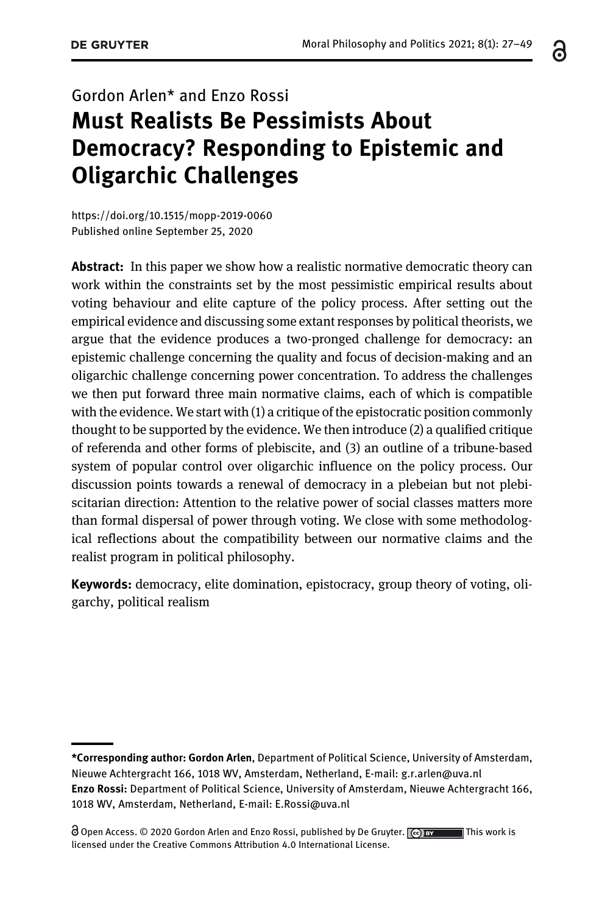# Gordon Arlen\* and Enzo Rossi Must Realists Be Pessimists About Democracy? Responding to Epistemic and Oligarchic Challenges

<https://doi.org/10.1515/mopp-2019-0060> [Published online September 25, 2020](https://doi.org/10.1515/mopp-2019-0060)

Abstract: In this paper we show how a realistic normative democratic theory can work within the constraints set by the most pessimistic empirical results about voting behaviour and elite capture of the policy process. After setting out the empirical evidence and discussing some extant responses by political theorists, we argue that the evidence produces a two-pronged challenge for democracy: an epistemic challenge concerning the quality and focus of decision-making and an oligarchic challenge concerning power concentration. To address the challenges we then put forward three main normative claims, each of which is compatible with the evidence. We start with (1) a critique of the epistocratic position commonly thought to be supported by the evidence. We then introduce (2) a qualified critique of referenda and other forms of plebiscite, and (3) an outline of a tribune-based system of popular control over oligarchic influence on the policy process. Our discussion points towards a renewal of democracy in a plebeian but not plebiscitarian direction: Attention to the relative power of social classes matters more than formal dispersal of power through voting. We close with some methodological reflections about the compatibility between our normative claims and the realist program in political philosophy.

Keywords: democracy, elite domination, epistocracy, group theory of voting, oligarchy, political realism

႕

<sup>\*</sup>Corresponding author: Gordon Arlen, Department of Political Science, University of Amsterdam, Nieuwe Achtergracht 166, 1018 WV, Amsterdam, Netherland, E-mail: [g.r.arlen@uva.nl](mailto:g.r.arlen@uva.nl) Enzo Rossi: Department of Political Science, University of Amsterdam, Nieuwe Achtergracht 166, 1018 WV, Amsterdam, Netherland, E-mail: [E.Rossi@uva.nl](mailto:E.Rossi@uva.nl)

O Open Access. © 2020 Gordon Arlen and Enzo Rossi, published by De Gruyter.  $\lceil \Theta \rceil$  by This work is licensed under the Creative Commons Attribution 4.0 International License.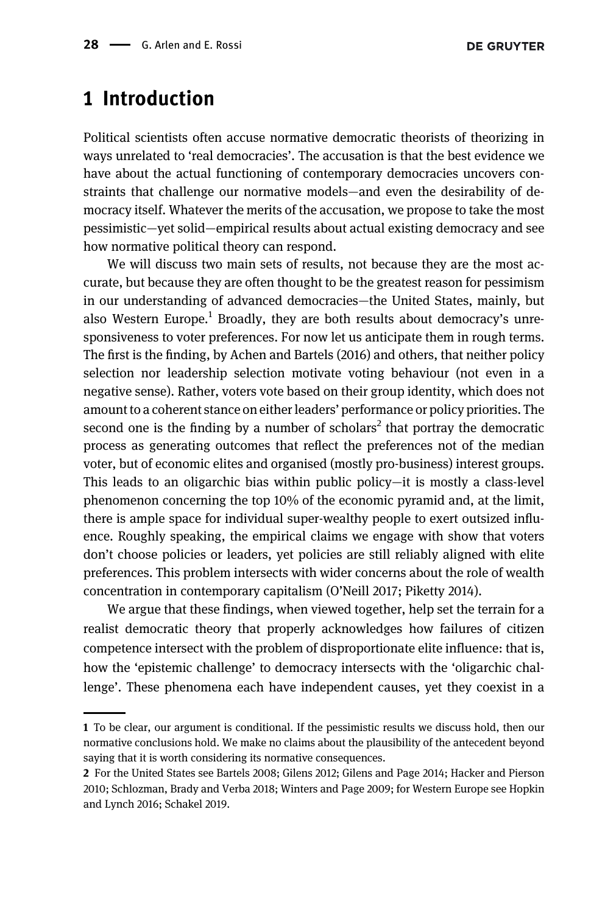# 1 Introduction

Political scientists often accuse normative democratic theorists of theorizing in ways unrelated to 'real democracies'. The accusation is that the best evidence we have about the actual functioning of contemporary democracies uncovers constraints that challenge our normative models—and even the desirability of democracy itself. Whatever the merits of the accusation, we propose to take the most pessimistic—yet solid—empirical results about actual existing democracy and see how normative political theory can respond.

We will discuss two main sets of results, not because they are the most accurate, but because they are often thought to be the greatest reason for pessimism in our understanding of advanced democracies—the United States, mainly, but also Western Europe.<sup>1</sup> Broadly, they are both results about democracy's unresponsiveness to voter preferences. For now let us anticipate them in rough terms. The first is the finding, by [Achen and Bartels \(2016\)](#page-20-0) and others, that neither policy selection nor leadership selection motivate voting behaviour (not even in a negative sense). Rather, voters vote based on their group identity, which does not amount to a coherent stance on either leaders' performance or policy priorities. The second one is the finding by a number of scholars<sup>2</sup> that portray the democratic process as generating outcomes that reflect the preferences not of the median voter, but of economic elites and organised (mostly pro-business) interest groups. This leads to an oligarchic bias within public policy—it is mostly a class-level phenomenon concerning the top 10% of the economic pyramid and, at the limit, there is ample space for individual super-wealthy people to exert outsized influence. Roughly speaking, the empirical claims we engage with show that voters don't choose policies or leaders, yet policies are still reliably aligned with elite preferences. This problem intersects with wider concerns about the role of wealth concentration in contemporary capitalism (O'[Neill 2017; Piketty 2014](#page-21-0)).

We argue that these findings, when viewed together, help set the terrain for a realist democratic theory that properly acknowledges how failures of citizen competence intersect with the problem of disproportionate elite influence: that is, how the 'epistemic challenge' to democracy intersects with the 'oligarchic challenge'. These phenomena each have independent causes, yet they coexist in a

<sup>1</sup> To be clear, our argument is conditional. If the pessimistic results we discuss hold, then our normative conclusions hold. We make no claims about the plausibility of the antecedent beyond saying that it is worth considering its normative consequences.

<sup>2</sup> For the United States see [Bartels 2008; Gilens 2012; Gilens and Page 2014; Hacker and Pierson](#page-20-0) [2010; Schlozman, Brady and Verba 2018; Winters and Page 2009;](#page-20-0) for Western Europe see [Hopkin](#page-21-0) [and Lynch 2016; Schakel 2019.](#page-21-0)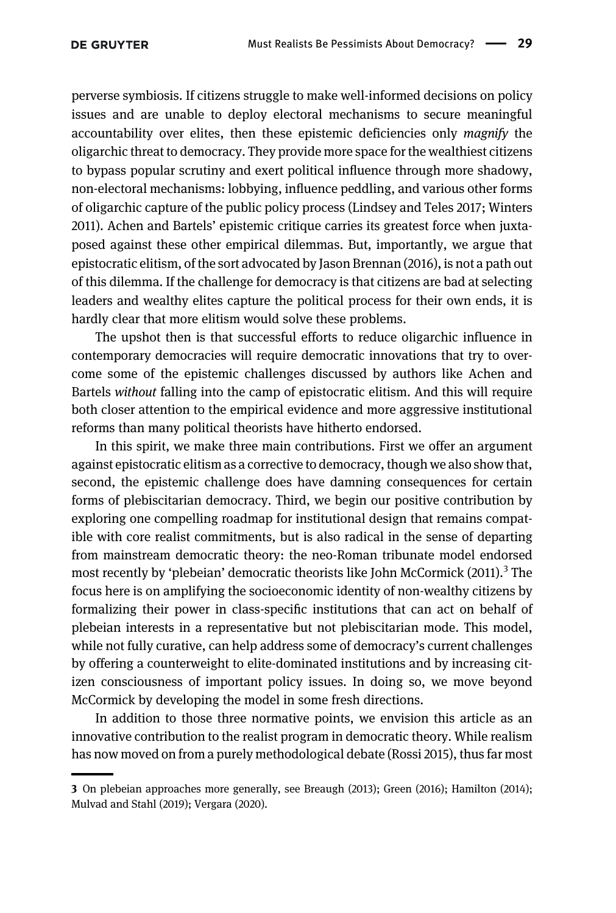perverse symbiosis. If citizens struggle to make well-informed decisions on policy issues and are unable to deploy electoral mechanisms to secure meaningful accountability over elites, then these epistemic deficiencies only magnify the oligarchic threat to democracy. They provide more space for the wealthiest citizens to bypass popular scrutiny and exert political influence through more shadowy, non-electoral mechanisms: lobbying, influence peddling, and various other forms of oligarchic capture of the public policy process [\(Lindsey and Teles 2017; Winters](#page-21-0) [2011](#page-21-0)). Achen and Bartels' epistemic critique carries its greatest force when juxtaposed against these other empirical dilemmas. But, importantly, we argue that epistocratic elitism, of the sort advocated by Jason [Brennan \(2016\)](#page-20-0), is not a path out of this dilemma. If the challenge for democracy is that citizens are bad at selecting leaders and wealthy elites capture the political process for their own ends, it is hardly clear that more elitism would solve these problems.

The upshot then is that successful efforts to reduce oligarchic influence in contemporary democracies will require democratic innovations that try to overcome some of the epistemic challenges discussed by authors like Achen and Bartels without falling into the camp of epistocratic elitism. And this will require both closer attention to the empirical evidence and more aggressive institutional reforms than many political theorists have hitherto endorsed.

In this spirit, we make three main contributions. First we offer an argument against epistocratic elitism as a corrective to democracy, though we also show that, second, the epistemic challenge does have damning consequences for certain forms of plebiscitarian democracy. Third, we begin our positive contribution by exploring one compelling roadmap for institutional design that remains compatible with core realist commitments, but is also radical in the sense of departing from mainstream democratic theory: the neo-Roman tribunate model endorsed most recently by 'plebeian' democratic theorists like John McCormick  $(2011)^3$  The focus here is on amplifying the socioeconomic identity of non-wealthy citizens by formalizing their power in class-specific institutions that can act on behalf of plebeian interests in a representative but not plebiscitarian mode. This model, while not fully curative, can help address some of democracy's current challenges by offering a counterweight to elite-dominated institutions and by increasing citizen consciousness of important policy issues. In doing so, we move beyond McCormick by developing the model in some fresh directions.

In addition to those three normative points, we envision this article as an innovative contribution to the realist program in democratic theory. While realism has now moved on from a purely methodological debate [\(Rossi 2015](#page-22-0)), thus far most

<sup>3</sup> On plebeian approaches more generally, see [Breaugh \(2013\); Green \(2016\); Hamilton \(2014\);](#page-20-0) [Mulvad and Stahl \(2019\); Vergara \(2020\).](#page-20-0)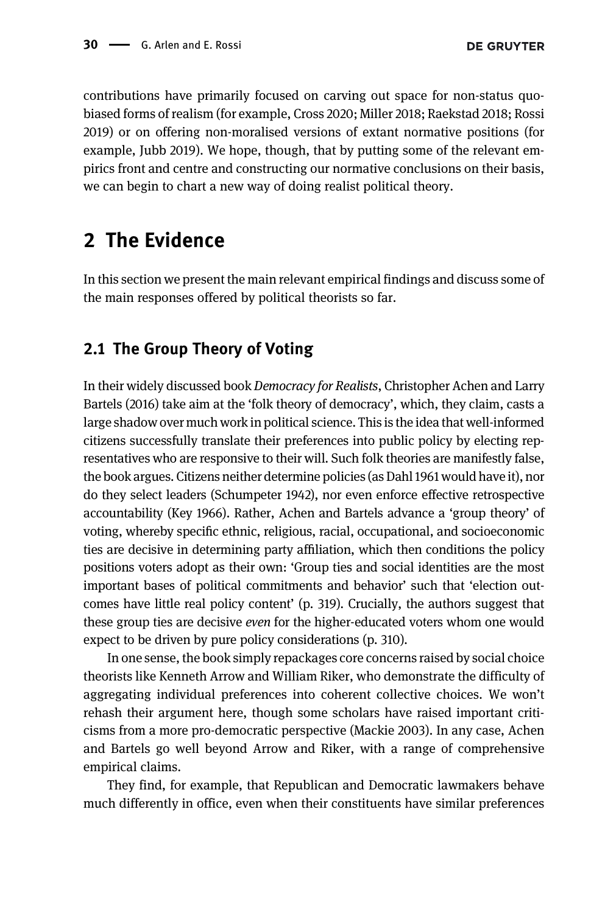contributions have primarily focused on carving out space for non-status quobiased forms of realism (for example, [Cross 2020; Miller 2018; Raekstad 2018; Rossi](#page-20-0) [2019\)](#page-20-0) or on offering non-moralised versions of extant normative positions (for example, [Jubb 2019\)](#page-21-0). We hope, though, that by putting some of the relevant empirics front and centre and constructing our normative conclusions on their basis, we can begin to chart a new way of doing realist political theory.

# 2 The Evidence

In this section we present the main relevant empirical findings and discuss some of the main responses offered by political theorists so far.

### 2.1 The Group Theory of Voting

In their widely discussed book Democracy for Realists, Christopher [Achen and Larry](#page-20-0) [Bartels \(2016\)](#page-20-0) take aim at the 'folk theory of democracy', which, they claim, casts a large shadow over much work in political science. This is the idea that well-informed citizens successfully translate their preferences into public policy by electing representatives who are responsive to their will. Such folk theories are manifestly false, the book argues. Citizens neither determine policies (as [Dahl 1961](#page-20-0) would have it), nor do they select leaders [\(Schumpeter 1942](#page-22-0)), nor even enforce effective retrospective accountability [\(Key 1966](#page-21-0)). Rather, Achen and Bartels advance a 'group theory' of voting, whereby specific ethnic, religious, racial, occupational, and socioeconomic ties are decisive in determining party affiliation, which then conditions the policy positions voters adopt as their own: 'Group ties and social identities are the most important bases of political commitments and behavior' such that 'election outcomes have little real policy content' (p. 319). Crucially, the authors suggest that these group ties are decisive even for the higher-educated voters whom one would expect to be driven by pure policy considerations (p. 310).

In one sense, the book simply repackages core concerns raised by social choice theorists like Kenneth Arrow and William Riker, who demonstrate the difficulty of aggregating individual preferences into coherent collective choices. We won't rehash their argument here, though some scholars have raised important criticisms from a more pro-democratic perspective ([Mackie 2003](#page-21-0)). In any case, Achen and Bartels go well beyond Arrow and Riker, with a range of comprehensive empirical claims.

They find, for example, that Republican and Democratic lawmakers behave much differently in office, even when their constituents have similar preferences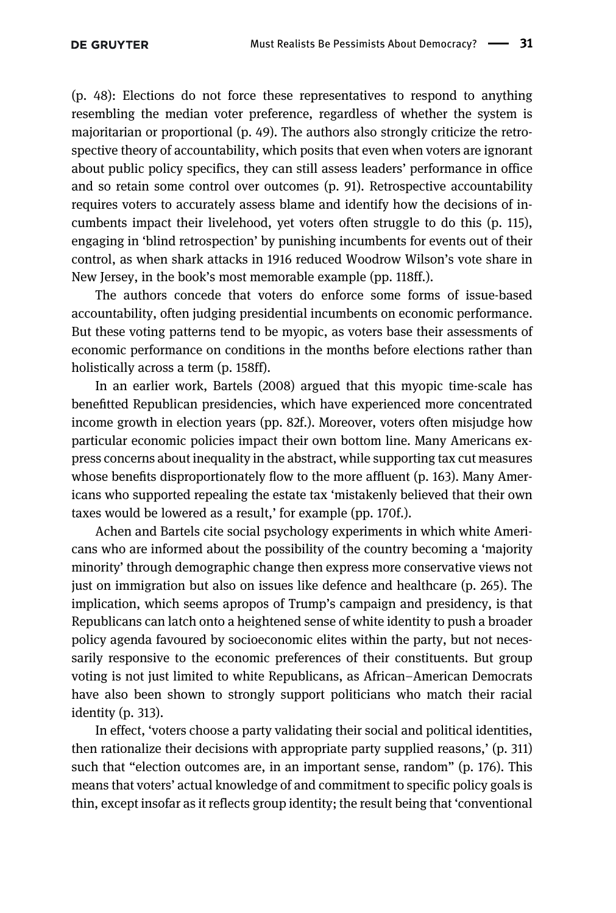(p. 48): Elections do not force these representatives to respond to anything resembling the median voter preference, regardless of whether the system is majoritarian or proportional (p. 49). The authors also strongly criticize the retrospective theory of accountability, which posits that even when voters are ignorant about public policy specifics, they can still assess leaders' performance in office and so retain some control over outcomes (p. 91). Retrospective accountability requires voters to accurately assess blame and identify how the decisions of incumbents impact their livelehood, yet voters often struggle to do this (p. 115), engaging in 'blind retrospection' by punishing incumbents for events out of their control, as when shark attacks in 1916 reduced Woodrow Wilson's vote share in New Jersey, in the book's most memorable example (pp. 118ff.).

The authors concede that voters do enforce some forms of issue-based accountability, often judging presidential incumbents on economic performance. But these voting patterns tend to be myopic, as voters base their assessments of economic performance on conditions in the months before elections rather than holistically across a term (p. 158ff).

In an earlier work, [Bartels \(2008\)](#page-20-0) argued that this myopic time-scale has benefitted Republican presidencies, which have experienced more concentrated income growth in election years (pp. 82f.). Moreover, voters often misjudge how particular economic policies impact their own bottom line. Many Americans express concerns about inequality in the abstract, while supporting tax cut measures whose benefits disproportionately flow to the more affluent (p. 163). Many Americans who supported repealing the estate tax 'mistakenly believed that their own taxes would be lowered as a result,' for example (pp. 170f.).

Achen and Bartels cite social psychology experiments in which white Americans who are informed about the possibility of the country becoming a 'majority minority' through demographic change then express more conservative views not just on immigration but also on issues like defence and healthcare (p. 265). The implication, which seems apropos of Trump's campaign and presidency, is that Republicans can latch onto a heightened sense of white identity to push a broader policy agenda favoured by socioeconomic elites within the party, but not necessarily responsive to the economic preferences of their constituents. But group voting is not just limited to white Republicans, as African–American Democrats have also been shown to strongly support politicians who match their racial identity (p. 313).

In effect, 'voters choose a party validating their social and political identities, then rationalize their decisions with appropriate party supplied reasons,' (p. 311) such that "election outcomes are, in an important sense, random" (p. 176). This means that voters' actual knowledge of and commitment to specific policy goals is thin, except insofar as it reflects group identity; the result being that 'conventional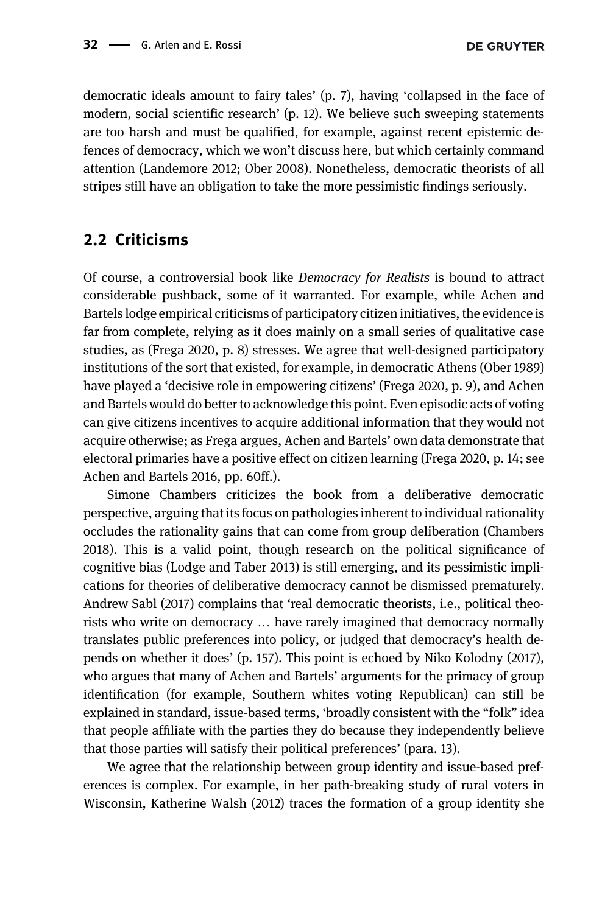democratic ideals amount to fairy tales' (p. 7), having 'collapsed in the face of modern, social scientific research' (p. 12). We believe such sweeping statements are too harsh and must be qualified, for example, against recent epistemic defences of democracy, which we won't discuss here, but which certainly command attention [\(Landemore 2012; Ober 2008\)](#page-21-0). Nonetheless, democratic theorists of all stripes still have an obligation to take the more pessimistic findings seriously.

### 2.2 Criticisms

Of course, a controversial book like Democracy for Realists is bound to attract considerable pushback, some of it warranted. For example, while Achen and Bartels lodge empirical criticisms of participatory citizen initiatives, the evidence is far from complete, relying as it does mainly on a small series of qualitative case studies, as ([Frega 2020](#page-20-0), p. 8) stresses. We agree that well-designed participatory institutions of the sort that existed, for example, in democratic Athens [\(Ober 1989](#page-21-0)) have played a 'decisive role in empowering citizens' [\(Frega 2020](#page-20-0), p. 9), and Achen and Bartels would do better to acknowledge this point. Even episodic acts of voting can give citizens incentives to acquire additional information that they would not acquire otherwise; as Frega argues, Achen and Bartels' own data demonstrate that electoral primaries have a positive effect on citizen learning [\(Frega 2020](#page-20-0), p. 14; see [Achen and Bartels 2016,](#page-20-0) pp. 60ff.).

Simone Chambers criticizes the book from a deliberative democratic perspective, arguing that its focus on pathologies inherent to individual rationality occludes the rationality gains that can come from group deliberation ([Chambers](#page-20-0) [2018\)](#page-20-0). This is a valid point, though research on the political significance of cognitive bias ([Lodge and Taber 2013\)](#page-21-0) is still emerging, and its pessimistic implications for theories of deliberative democracy cannot be dismissed prematurely. Andrew [Sabl \(2017\)](#page-22-0) complains that 'real democratic theorists, i.e., political theorists who write on democracy … have rarely imagined that democracy normally translates public preferences into policy, or judged that democracy's health depends on whether it does' (p. 157). This point is echoed by Niko [Kolodny \(2017\),](#page-21-0) who argues that many of Achen and Bartels' arguments for the primacy of group identification (for example, Southern whites voting Republican) can still be explained in standard, issue-based terms, 'broadly consistent with the "folk" idea that people affiliate with the parties they do because they independently believe that those parties will satisfy their political preferences' (para. 13).

We agree that the relationship between group identity and issue-based preferences is complex. For example, in her path-breaking study of rural voters in Wisconsin, Katherine [Walsh \(2012\)](#page-22-0) traces the formation of a group identity she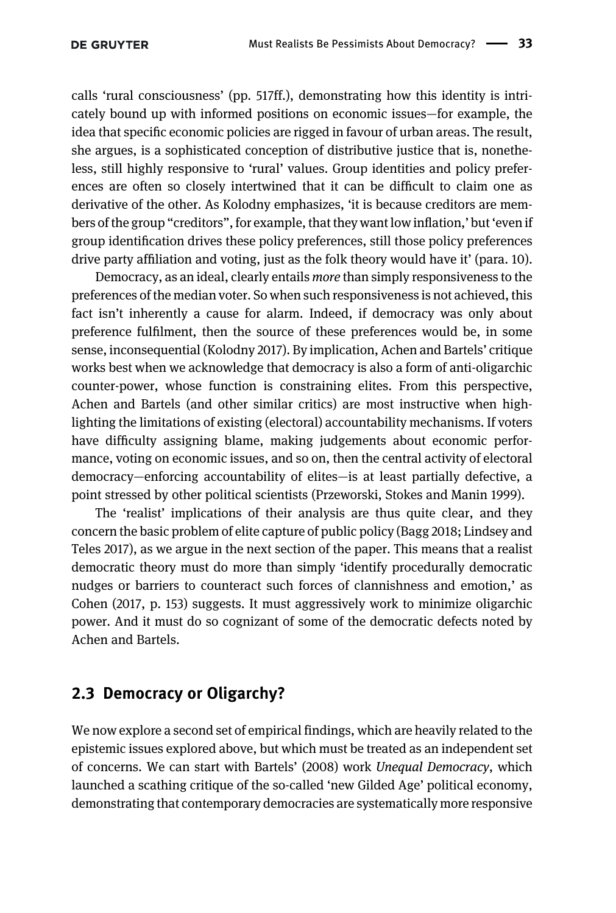calls 'rural consciousness' (pp. 517ff.), demonstrating how this identity is intricately bound up with informed positions on economic issues—for example, the idea that specific economic policies are rigged in favour of urban areas. The result, she argues, is a sophisticated conception of distributive justice that is, nonetheless, still highly responsive to 'rural' values. Group identities and policy preferences are often so closely intertwined that it can be difficult to claim one as derivative of the other. As Kolodny emphasizes, 'it is because creditors are members of the group "creditors", for example, that they want low inflation,' but 'even if group identification drives these policy preferences, still those policy preferences drive party affiliation and voting, just as the folk theory would have it' (para. 10).

Democracy, as an ideal, clearly entails more than simply responsiveness to the preferences of the median voter. So when such responsiveness is not achieved, this fact isn't inherently a cause for alarm. Indeed, if democracy was only about preference fulfilment, then the source of these preferences would be, in some sense, inconsequential ([Kolodny 2017](#page-21-0)). By implication, Achen and Bartels' critique works best when we acknowledge that democracy is also a form of anti-oligarchic counter-power, whose function is constraining elites. From this perspective, Achen and Bartels (and other similar critics) are most instructive when highlighting the limitations of existing (electoral) accountability mechanisms. If voters have difficulty assigning blame, making judgements about economic performance, voting on economic issues, and so on, then the central activity of electoral democracy—enforcing accountability of elites—is at least partially defective, a point stressed by other political scientists [\(Przeworski, Stokes and Manin 1999\)](#page-21-0).

The 'realist' implications of their analysis are thus quite clear, and they concern the basic problem of elite capture of public policy ([Bagg 2018; Lindsey and](#page-20-0) [Teles 2017](#page-20-0)), as we argue in the next section of the paper. This means that a realist democratic theory must do more than simply 'identify procedurally democratic nudges or barriers to counteract such forces of clannishness and emotion,' as [Cohen \(2017,](#page-20-0) p. 153) suggests. It must aggressively work to minimize oligarchic power. And it must do so cognizant of some of the democratic defects noted by Achen and Bartels.

### 2.3 Democracy or Oligarchy?

We now explore a second set of empirical findings, which are heavily related to the epistemic issues explored above, but which must be treated as an independent set of concerns. We can start with [Bartels](#page-20-0)' (2008) work Unequal Democracy, which launched a scathing critique of the so-called 'new Gilded Age' political economy, demonstrating that contemporary democracies are systematically more responsive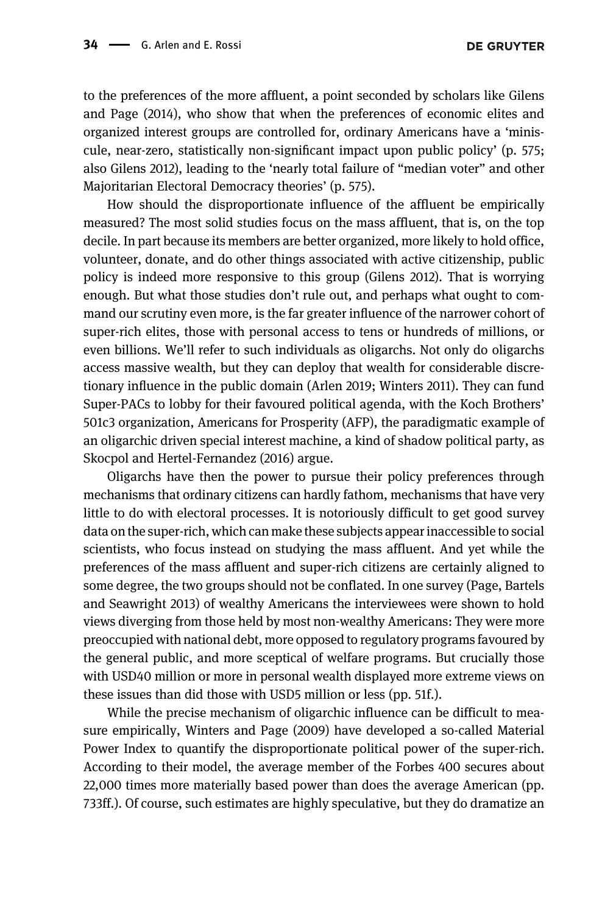**DE GRUYTER** 

to the preferences of the more affluent, a point seconded by scholars like [Gilens](#page-20-0) [and Page \(2014\),](#page-20-0) who show that when the preferences of economic elites and organized interest groups are controlled for, ordinary Americans have a 'miniscule, near-zero, statistically non-significant impact upon public policy' (p. 575; also [Gilens 2012](#page-20-0)), leading to the 'nearly total failure of "median voter" and other Majoritarian Electoral Democracy theories' (p. 575).

How should the disproportionate influence of the affluent be empirically measured? The most solid studies focus on the mass affluent, that is, on the top decile. In part because its members are better organized, more likely to hold office, volunteer, donate, and do other things associated with active citizenship, public policy is indeed more responsive to this group [\(Gilens 2012\)](#page-20-0). That is worrying enough. But what those studies don't rule out, and perhaps what ought to command our scrutiny even more, is the far greater influence of the narrower cohort of super-rich elites, those with personal access to tens or hundreds of millions, or even billions. We'll refer to such individuals as oligarchs. Not only do oligarchs access massive wealth, but they can deploy that wealth for considerable discretionary influence in the public domain ([Arlen 2019; Winters 2011\)](#page-20-0). They can fund Super-PACs to lobby for their favoured political agenda, with the Koch Brothers' 501c3 organization, Americans for Prosperity (AFP), the paradigmatic example of an oligarchic driven special interest machine, a kind of shadow political party, as [Skocpol and Hertel-Fernandez \(2016\)](#page-22-0) argue.

Oligarchs have then the power to pursue their policy preferences through mechanisms that ordinary citizens can hardly fathom, mechanisms that have very little to do with electoral processes. It is notoriously difficult to get good survey data on the super-rich, which can make these subjects appear inaccessible to social scientists, who focus instead on studying the mass affluent. And yet while the preferences of the mass affluent and super-rich citizens are certainly aligned to some degree, the two groups should not be conflated. In one survey ([Page, Bartels](#page-21-0) [and Seawright 2013](#page-21-0)) of wealthy Americans the interviewees were shown to hold views diverging from those held by most non-wealthy Americans: They were more preoccupied with national debt, more opposed to regulatory programs favoured by the general public, and more sceptical of welfare programs. But crucially those with USD40 million or more in personal wealth displayed more extreme views on these issues than did those with USD5 million or less (pp. 51f.).

While the precise mechanism of oligarchic influence can be difficult to measure empirically, [Winters and Page \(2009\)](#page-22-0) have developed a so-called Material Power Index to quantify the disproportionate political power of the super-rich. According to their model, the average member of the Forbes 400 secures about 22,000 times more materially based power than does the average American (pp. 733ff.). Of course, such estimates are highly speculative, but they do dramatize an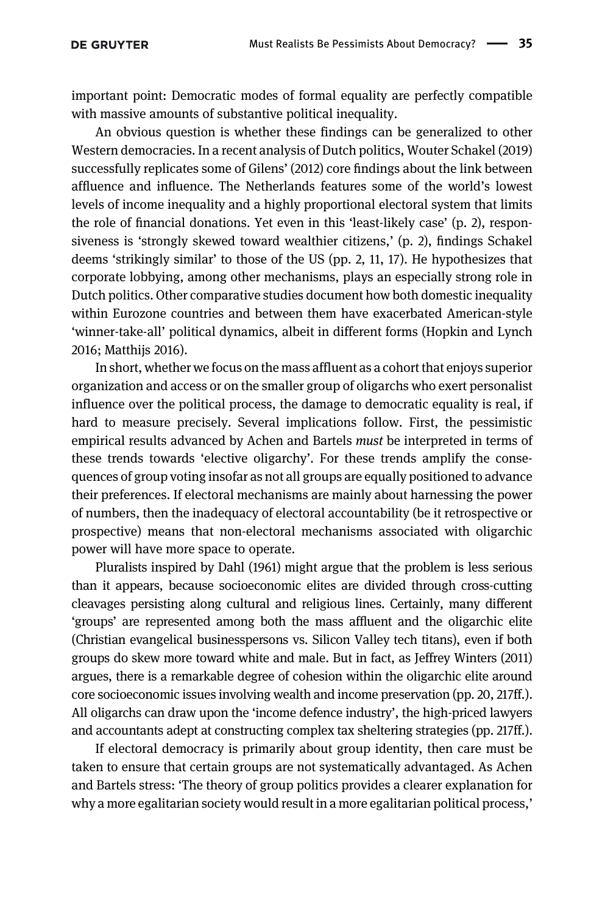important point: Democratic modes of formal equality are perfectly compatible with massive amounts of substantive political inequality.

An obvious question is whether these findings can be generalized to other Western democracies. In a recent analysis of Dutch politics, Wouter [Schakel \(2019\)](#page-22-0) successfully replicates some of [Gilens](#page-20-0)' (2012) core findings about the link between affluence and influence. The Netherlands features some of the world's lowest levels of income inequality and a highly proportional electoral system that limits the role of financial donations. Yet even in this 'least-likely case' (p. 2), responsiveness is 'strongly skewed toward wealthier citizens,' (p. 2), findings Schakel deems 'strikingly similar' to those of the US (pp. 2, 11, 17). He hypothesizes that corporate lobbying, among other mechanisms, plays an especially strong role in Dutch politics. Other comparative studies document how both domestic inequality within Eurozone countries and between them have exacerbated American-style 'winner-take-all' political dynamics, albeit in different forms ([Hopkin and Lynch](#page-21-0) [2016](#page-21-0); [Matthijs 2016](#page-21-0)).

In short, whether we focus on the mass affluent as a cohort that enjoys superior organization and access or on the smaller group of oligarchs who exert personalist influence over the political process, the damage to democratic equality is real, if hard to measure precisely. Several implications follow. First, the pessimistic empirical results advanced by Achen and Bartels *must* be interpreted in terms of these trends towards 'elective oligarchy'. For these trends amplify the consequences of group voting insofar as not all groups are equally positioned to advance their preferences. If electoral mechanisms are mainly about harnessing the power of numbers, then the inadequacy of electoral accountability (be it retrospective or prospective) means that non-electoral mechanisms associated with oligarchic power will have more space to operate.

Pluralists inspired by [Dahl \(1961\)](#page-20-0) might argue that the problem is less serious than it appears, because socioeconomic elites are divided through cross-cutting cleavages persisting along cultural and religious lines. Certainly, many different 'groups' are represented among both the mass affluent and the oligarchic elite (Christian evangelical businesspersons vs. Silicon Valley tech titans), even if both groups do skew more toward white and male. But in fact, as Jeffrey [Winters \(2011\)](#page-22-0) argues, there is a remarkable degree of cohesion within the oligarchic elite around core socioeconomic issues involving wealth and income preservation (pp. 20, 217ff.). All oligarchs can draw upon the 'income defence industry', the high-priced lawyers and accountants adept at constructing complex tax sheltering strategies (pp. 217ff.).

If electoral democracy is primarily about group identity, then care must be taken to ensure that certain groups are not systematically advantaged. As Achen and Bartels stress: 'The theory of group politics provides a clearer explanation for why a more egalitarian society would result in a more egalitarian political process,'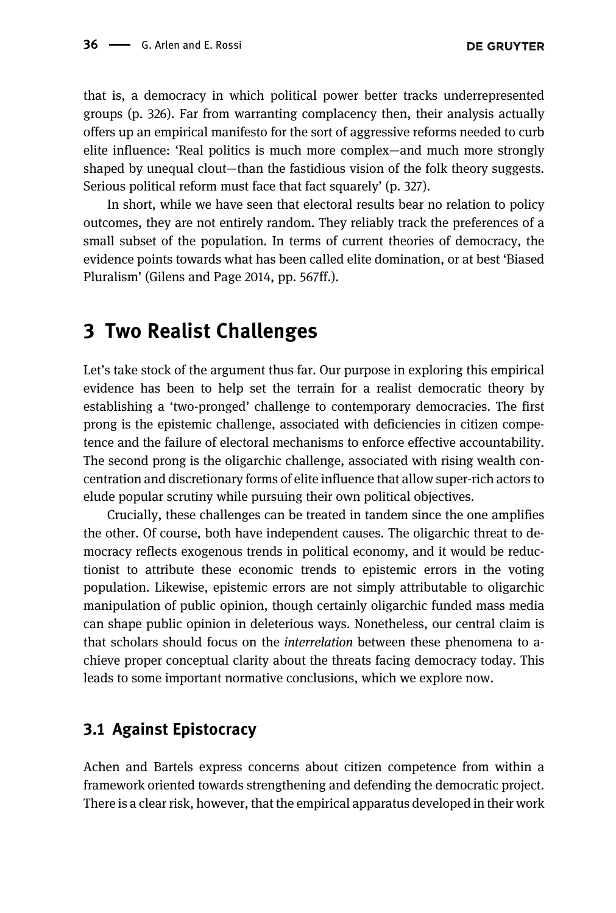that is, a democracy in which political power better tracks underrepresented groups (p. 326). Far from warranting complacency then, their analysis actually offers up an empirical manifesto for the sort of aggressive reforms needed to curb elite influence: 'Real politics is much more complex—and much more strongly shaped by unequal clout—than the fastidious vision of the folk theory suggests. Serious political reform must face that fact squarely' (p. 327).

In short, while we have seen that electoral results bear no relation to policy outcomes, they are not entirely random. They reliably track the preferences of a small subset of the population. In terms of current theories of democracy, the evidence points towards what has been called elite domination, or at best 'Biased Pluralism' ([Gilens and Page 2014](#page-20-0), pp. 567ff.).

### 3 Two Realist Challenges

Let's take stock of the argument thus far. Our purpose in exploring this empirical evidence has been to help set the terrain for a realist democratic theory by establishing a 'two-pronged' challenge to contemporary democracies. The first prong is the epistemic challenge, associated with deficiencies in citizen competence and the failure of electoral mechanisms to enforce effective accountability. The second prong is the oligarchic challenge, associated with rising wealth concentration and discretionary forms of elite influence that allow super-rich actors to elude popular scrutiny while pursuing their own political objectives.

Crucially, these challenges can be treated in tandem since the one amplifies the other. Of course, both have independent causes. The oligarchic threat to democracy reflects exogenous trends in political economy, and it would be reductionist to attribute these economic trends to epistemic errors in the voting population. Likewise, epistemic errors are not simply attributable to oligarchic manipulation of public opinion, though certainly oligarchic funded mass media can shape public opinion in deleterious ways. Nonetheless, our central claim is that scholars should focus on the interrelation between these phenomena to achieve proper conceptual clarity about the threats facing democracy today. This leads to some important normative conclusions, which we explore now.

### 3.1 Against Epistocracy

Achen and Bartels express concerns about citizen competence from within a framework oriented towards strengthening and defending the democratic project. There is a clear risk, however, that the empirical apparatus developed in their work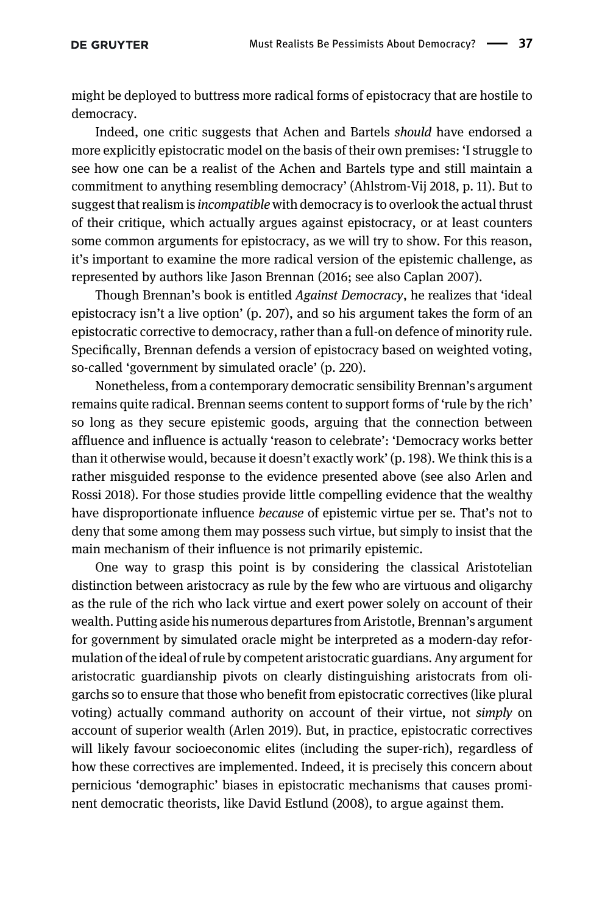might be deployed to buttress more radical forms of epistocracy that are hostile to democracy.

Indeed, one critic suggests that Achen and Bartels should have endorsed a more explicitly epistocratic model on the basis of their own premises: 'I struggle to see how one can be a realist of the Achen and Bartels type and still maintain a commitment to anything resembling democracy' ([Ahlstrom-Vij 2018](#page-20-0), p. 11). But to suggest that realism is *incompatible* with democracy is to overlook the actual thrust of their critique, which actually argues against epistocracy, or at least counters some common arguments for epistocracy, as we will try to show. For this reason, it's important to examine the more radical version of the epistemic challenge, as represented by authors like Jason Brennan (2016; see also [Caplan 2007\)](#page-20-0).

Though Brennan's book is entitled Against Democracy, he realizes that 'ideal epistocracy isn't a live option' (p. 207), and so his argument takes the form of an epistocratic corrective to democracy, rather than a full-on defence of minority rule. Specifically, Brennan defends a version of epistocracy based on weighted voting, so-called 'government by simulated oracle' (p. 220).

Nonetheless, from a contemporary democratic sensibility Brennan's argument remains quite radical. Brennan seems content to support forms of 'rule by the rich' so long as they secure epistemic goods, arguing that the connection between affluence and influence is actually 'reason to celebrate': 'Democracy works better than it otherwise would, because it doesn't exactly work' (p. 198). We think this is a rather misguided response to the evidence presented above (see also [Arlen and](#page-20-0) [Rossi 2018](#page-20-0)). For those studies provide little compelling evidence that the wealthy have disproportionate influence because of epistemic virtue per se. That's not to deny that some among them may possess such virtue, but simply to insist that the main mechanism of their influence is not primarily epistemic.

One way to grasp this point is by considering the classical Aristotelian distinction between aristocracy as rule by the few who are virtuous and oligarchy as the rule of the rich who lack virtue and exert power solely on account of their wealth. Putting aside his numerous departures from Aristotle, Brennan's argument for government by simulated oracle might be interpreted as a modern-day reformulation of the ideal of rule by competent aristocratic guardians. Any argument for aristocratic guardianship pivots on clearly distinguishing aristocrats from oligarchs so to ensure that those who benefit from epistocratic correctives (like plural voting) actually command authority on account of their virtue, not simply on account of superior wealth [\(Arlen 2019\)](#page-20-0). But, in practice, epistocratic correctives will likely favour socioeconomic elites (including the super-rich), regardless of how these correctives are implemented. Indeed, it is precisely this concern about pernicious 'demographic' biases in epistocratic mechanisms that causes prominent democratic theorists, like David [Estlund \(2008\)](#page-20-0), to argue against them.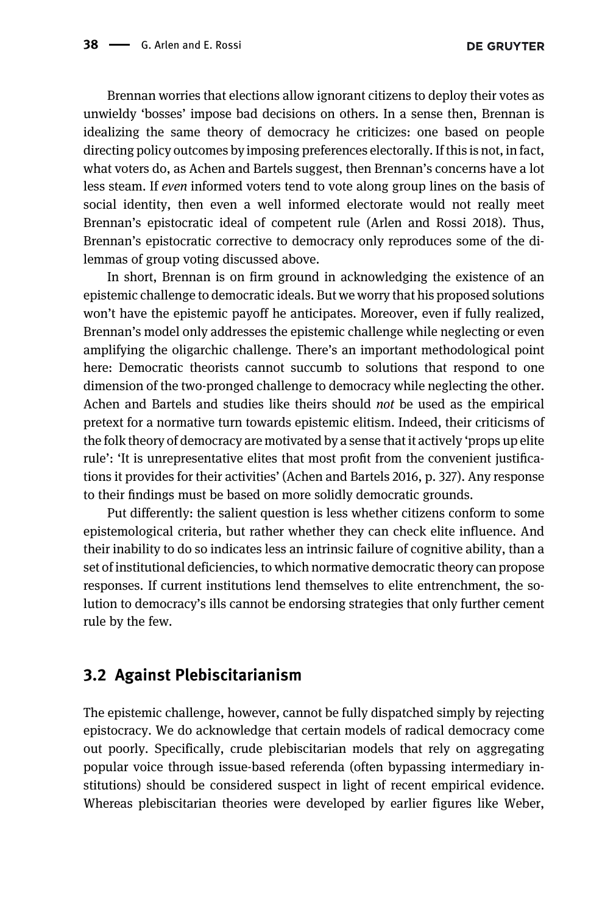Brennan worries that elections allow ignorant citizens to deploy their votes as unwieldy 'bosses' impose bad decisions on others. In a sense then, Brennan is idealizing the same theory of democracy he criticizes: one based on people directing policy outcomes by imposing preferences electorally. If this is not, in fact, what voters do, as Achen and Bartels suggest, then Brennan's concerns have a lot less steam. If even informed voters tend to vote along group lines on the basis of social identity, then even a well informed electorate would not really meet Brennan's epistocratic ideal of competent rule [\(Arlen and Rossi 2018\)](#page-20-0). Thus, Brennan's epistocratic corrective to democracy only reproduces some of the dilemmas of group voting discussed above.

In short, Brennan is on firm ground in acknowledging the existence of an epistemic challenge to democratic ideals. But we worry that his proposed solutions won't have the epistemic payoff he anticipates. Moreover, even if fully realized, Brennan's model only addresses the epistemic challenge while neglecting or even amplifying the oligarchic challenge. There's an important methodological point here: Democratic theorists cannot succumb to solutions that respond to one dimension of the two-pronged challenge to democracy while neglecting the other. Achen and Bartels and studies like theirs should not be used as the empirical pretext for a normative turn towards epistemic elitism. Indeed, their criticisms of the folk theory of democracy are motivated by a sense that it actively 'props up elite rule': 'It is unrepresentative elites that most profit from the convenient justifications it provides for their activities' [\(Achen and Bartels 2016](#page-20-0), p. 327). Any response to their findings must be based on more solidly democratic grounds.

Put differently: the salient question is less whether citizens conform to some epistemological criteria, but rather whether they can check elite influence. And their inability to do so indicates less an intrinsic failure of cognitive ability, than a set of institutional deficiencies, to which normative democratic theory can propose responses. If current institutions lend themselves to elite entrenchment, the solution to democracy's ills cannot be endorsing strategies that only further cement rule by the few.

#### 3.2 Against Plebiscitarianism

The epistemic challenge, however, cannot be fully dispatched simply by rejecting epistocracy. We do acknowledge that certain models of radical democracy come out poorly. Specifically, crude plebiscitarian models that rely on aggregating popular voice through issue-based referenda (often bypassing intermediary institutions) should be considered suspect in light of recent empirical evidence. Whereas plebiscitarian theories were developed by earlier figures like Weber,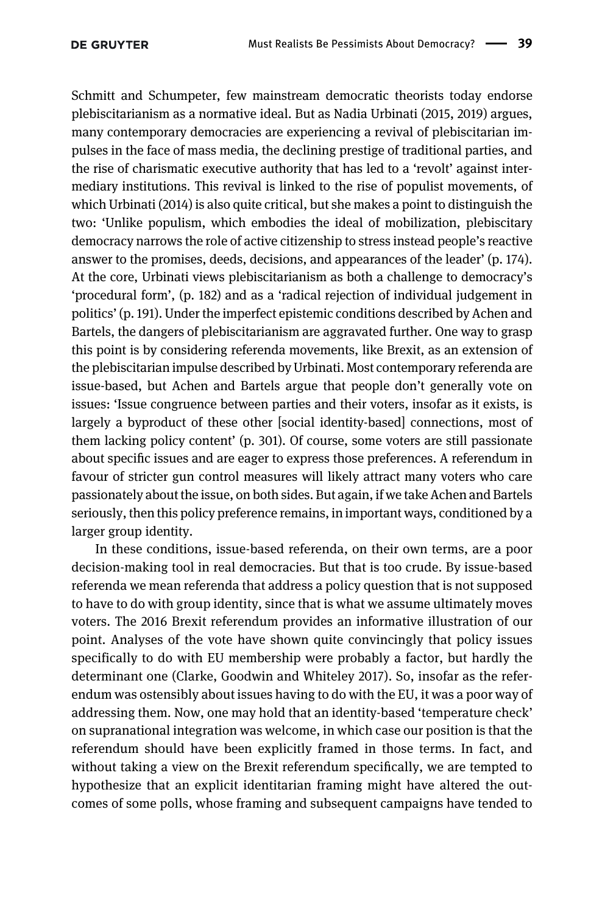Schmitt and Schumpeter, few mainstream democratic theorists today endorse plebiscitarianism as a normative ideal. But as Nadia [Urbinati \(2015, 2019\)](#page-22-0) argues, many contemporary democracies are experiencing a revival of plebiscitarian impulses in the face of mass media, the declining prestige of traditional parties, and the rise of charismatic executive authority that has led to a 'revolt' against intermediary institutions. This revival is linked to the rise of populist movements, of which [Urbinati \(2014\)](#page-22-0) is also quite critical, but she makes a point to distinguish the two: 'Unlike populism, which embodies the ideal of mobilization, plebiscitary democracy narrows the role of active citizenship to stress instead people's reactive answer to the promises, deeds, decisions, and appearances of the leader' (p. 174). At the core, Urbinati views plebiscitarianism as both a challenge to democracy's 'procedural form', (p. 182) and as a 'radical rejection of individual judgement in politics' (p. 191). Under the imperfect epistemic conditions described by Achen and Bartels, the dangers of plebiscitarianism are aggravated further. One way to grasp this point is by considering referenda movements, like Brexit, as an extension of the plebiscitarian impulse described by Urbinati. Most contemporary referenda are issue-based, but Achen and Bartels argue that people don't generally vote on issues: 'Issue congruence between parties and their voters, insofar as it exists, is largely a byproduct of these other [social identity-based] connections, most of them lacking policy content' (p. 301). Of course, some voters are still passionate about specific issues and are eager to express those preferences. A referendum in favour of stricter gun control measures will likely attract many voters who care passionately about the issue, on both sides. But again, if we take Achen and Bartels seriously, then this policy preference remains, in important ways, conditioned by a larger group identity.

In these conditions, issue-based referenda, on their own terms, are a poor decision-making tool in real democracies. But that is too crude. By issue-based referenda we mean referenda that address a policy question that is not supposed to have to do with group identity, since that is what we assume ultimately moves voters. The 2016 Brexit referendum provides an informative illustration of our point. Analyses of the vote have shown quite convincingly that policy issues specifically to do with EU membership were probably a factor, but hardly the determinant one ([Clarke, Goodwin and Whiteley 2017\)](#page-20-0). So, insofar as the referendum was ostensibly about issues having to do with the EU, it was a poor way of addressing them. Now, one may hold that an identity-based 'temperature check' on supranational integration was welcome, in which case our position is that the referendum should have been explicitly framed in those terms. In fact, and without taking a view on the Brexit referendum specifically, we are tempted to hypothesize that an explicit identitarian framing might have altered the outcomes of some polls, whose framing and subsequent campaigns have tended to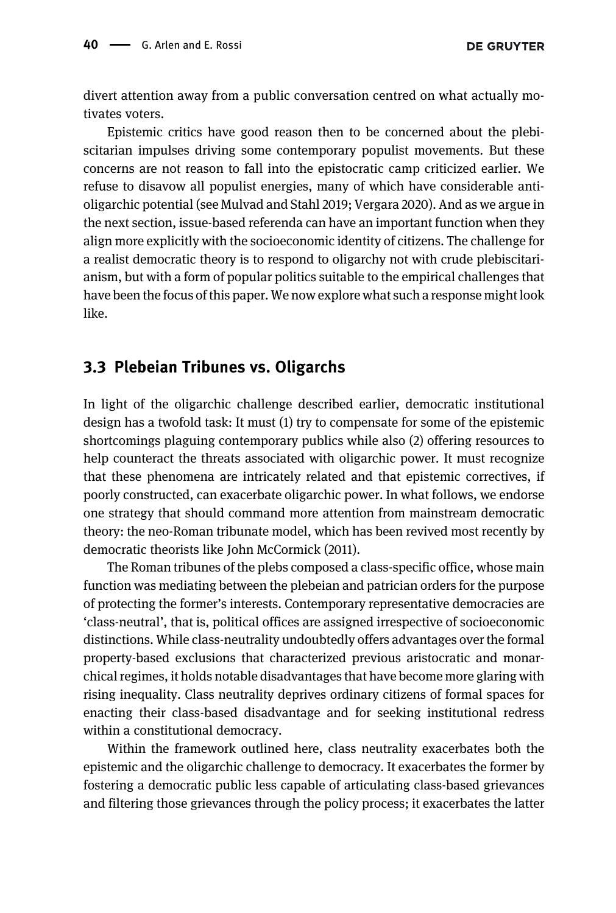divert attention away from a public conversation centred on what actually motivates voters.

Epistemic critics have good reason then to be concerned about the plebiscitarian impulses driving some contemporary populist movements. But these concerns are not reason to fall into the epistocratic camp criticized earlier. We refuse to disavow all populist energies, many of which have considerable antioligarchic potential (see [Mulvad and Stahl 2019; Vergara 2020\)](#page-21-0). And as we argue in the next section, issue-based referenda can have an important function when they align more explicitly with the socioeconomic identity of citizens. The challenge for a realist democratic theory is to respond to oligarchy not with crude plebiscitarianism, but with a form of popular politics suitable to the empirical challenges that have been the focus of this paper. We now explore what such a response might look like.

#### 3.3 Plebeian Tribunes vs. Oligarchs

In light of the oligarchic challenge described earlier, democratic institutional design has a twofold task: It must (1) try to compensate for some of the epistemic shortcomings plaguing contemporary publics while also (2) offering resources to help counteract the threats associated with oligarchic power. It must recognize that these phenomena are intricately related and that epistemic correctives, if poorly constructed, can exacerbate oligarchic power. In what follows, we endorse one strategy that should command more attention from mainstream democratic theory: the neo-Roman tribunate model, which has been revived most recently by democratic theorists like John [McCormick \(2011\)](#page-21-0).

The Roman tribunes of the plebs composed a class-specific office, whose main function was mediating between the plebeian and patrician orders for the purpose of protecting the former's interests. Contemporary representative democracies are 'class-neutral', that is, political offices are assigned irrespective of socioeconomic distinctions. While class-neutrality undoubtedly offers advantages over the formal property-based exclusions that characterized previous aristocratic and monarchical regimes, it holds notable disadvantages that have become more glaring with rising inequality. Class neutrality deprives ordinary citizens of formal spaces for enacting their class-based disadvantage and for seeking institutional redress within a constitutional democracy.

Within the framework outlined here, class neutrality exacerbates both the epistemic and the oligarchic challenge to democracy. It exacerbates the former by fostering a democratic public less capable of articulating class-based grievances and filtering those grievances through the policy process; it exacerbates the latter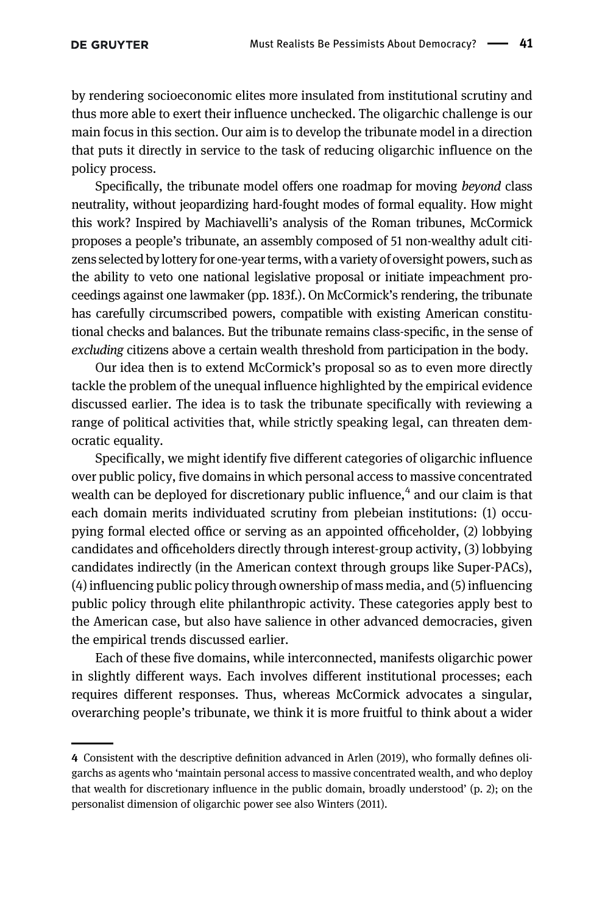by rendering socioeconomic elites more insulated from institutional scrutiny and thus more able to exert their influence unchecked. The oligarchic challenge is our main focus in this section. Our aim is to develop the tribunate model in a direction that puts it directly in service to the task of reducing oligarchic influence on the policy process.

Specifically, the tribunate model offers one roadmap for moving beyond class neutrality, without jeopardizing hard-fought modes of formal equality. How might this work? Inspired by Machiavelli's analysis of the Roman tribunes, McCormick proposes a people's tribunate, an assembly composed of 51 non-wealthy adult citizens selected by lottery for one-year terms, with a variety of oversight powers, such as the ability to veto one national legislative proposal or initiate impeachment proceedings against one lawmaker (pp. 183f.). On McCormick's rendering, the tribunate has carefully circumscribed powers, compatible with existing American constitutional checks and balances. But the tribunate remains class-specific, in the sense of excluding citizens above a certain wealth threshold from participation in the body.

Our idea then is to extend McCormick's proposal so as to even more directly tackle the problem of the unequal influence highlighted by the empirical evidence discussed earlier. The idea is to task the tribunate specifically with reviewing a range of political activities that, while strictly speaking legal, can threaten democratic equality.

Specifically, we might identify five different categories of oligarchic influence over public policy, five domains in which personal access to massive concentrated wealth can be deployed for discretionary public influence, $4$  and our claim is that each domain merits individuated scrutiny from plebeian institutions: (1) occupying formal elected office or serving as an appointed officeholder, (2) lobbying candidates and officeholders directly through interest-group activity, (3) lobbying candidates indirectly (in the American context through groups like Super-PACs), (4) influencing public policy through ownership of mass media, and (5) influencing public policy through elite philanthropic activity. These categories apply best to the American case, but also have salience in other advanced democracies, given the empirical trends discussed earlier.

Each of these five domains, while interconnected, manifests oligarchic power in slightly different ways. Each involves different institutional processes; each requires different responses. Thus, whereas McCormick advocates a singular, overarching people's tribunate, we think it is more fruitful to think about a wider

<sup>4</sup> Consistent with the descriptive definition advanced in [Arlen \(2019\)](#page-20-0), who formally defines oligarchs as agents who 'maintain personal access to massive concentrated wealth, and who deploy that wealth for discretionary influence in the public domain, broadly understood' (p. 2); on the personalist dimension of oligarchic power see also [Winters \(2011\)](#page-22-0).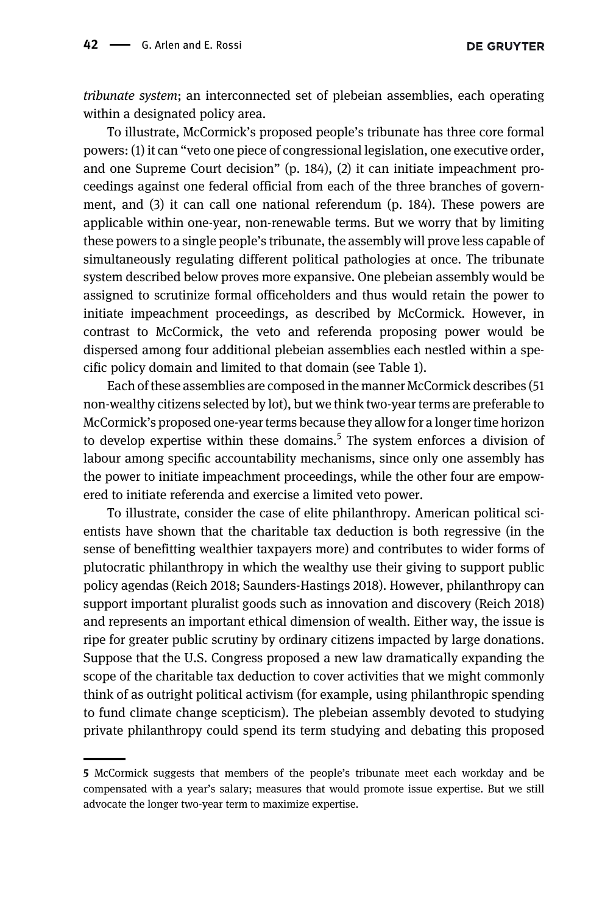tribunate system; an interconnected set of plebeian assemblies, each operating within a designated policy area.

To illustrate, McCormick's proposed people's tribunate has three core formal powers: (1) it can "veto one piece of congressional legislation, one executive order, and one Supreme Court decision" (p. 184), (2) it can initiate impeachment proceedings against one federal official from each of the three branches of government, and (3) it can call one national referendum (p. 184). These powers are applicable within one-year, non-renewable terms. But we worry that by limiting these powers to a single people's tribunate, the assembly will prove less capable of simultaneously regulating different political pathologies at once. The tribunate system described below proves more expansive. One plebeian assembly would be assigned to scrutinize formal officeholders and thus would retain the power to initiate impeachment proceedings, as described by McCormick. However, in contrast to McCormick, the veto and referenda proposing power would be dispersed among four additional plebeian assemblies each nestled within a specific policy domain and limited to that domain (see [Table 1\)](#page-16-0).

Each of these assemblies are composed in the manner McCormick describes (51 non-wealthy citizens selected by lot), but we think two-year terms are preferable to McCormick's proposed one-year terms because they allow for a longer time horizon to develop expertise within these domains.<sup>5</sup> The system enforces a division of labour among specific accountability mechanisms, since only one assembly has the power to initiate impeachment proceedings, while the other four are empowered to initiate referenda and exercise a limited veto power.

To illustrate, consider the case of elite philanthropy. American political scientists have shown that the charitable tax deduction is both regressive (in the sense of benefitting wealthier taxpayers more) and contributes to wider forms of plutocratic philanthropy in which the wealthy use their giving to support public policy agendas [\(Reich 2018; Saunders-Hastings 2018](#page-22-0)). However, philanthropy can support important pluralist goods such as innovation and discovery ([Reich 2018](#page-22-0)) and represents an important ethical dimension of wealth. Either way, the issue is ripe for greater public scrutiny by ordinary citizens impacted by large donations. Suppose that the U.S. Congress proposed a new law dramatically expanding the scope of the charitable tax deduction to cover activities that we might commonly think of as outright political activism (for example, using philanthropic spending to fund climate change scepticism). The plebeian assembly devoted to studying private philanthropy could spend its term studying and debating this proposed

<sup>5</sup> McCormick suggests that members of the people's tribunate meet each workday and be compensated with a year's salary; measures that would promote issue expertise. But we still advocate the longer two-year term to maximize expertise.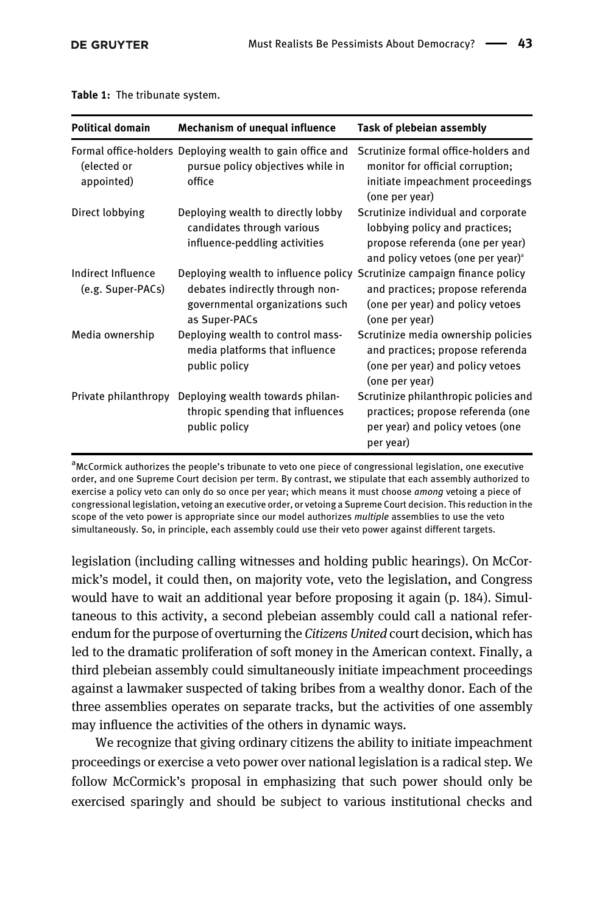| <b>Political domain</b>                 | <b>Mechanism of unequal influence</b>                                                                                                                          | Task of plebeian assembly                                                                                                                                  |
|-----------------------------------------|----------------------------------------------------------------------------------------------------------------------------------------------------------------|------------------------------------------------------------------------------------------------------------------------------------------------------------|
| (elected or<br>appointed)               | Formal office-holders Deploying wealth to gain office and<br>pursue policy objectives while in<br>office                                                       | Scrutinize formal office-holders and<br>monitor for official corruption;<br>initiate impeachment proceedings<br>(one per year)                             |
| Direct lobbying                         | Deploying wealth to directly lobby<br>candidates through various<br>influence-peddling activities                                                              | Scrutinize individual and corporate<br>lobbying policy and practices;<br>propose referenda (one per year)<br>and policy vetoes (one per year) <sup>a</sup> |
| Indirect Influence<br>(e.g. Super-PACs) | Deploying wealth to influence policy Scrutinize campaign finance policy<br>debates indirectly through non-<br>governmental organizations such<br>as Super-PACs | and practices; propose referenda<br>(one per year) and policy vetoes<br>(one per year)                                                                     |
| Media ownership                         | Deploying wealth to control mass-<br>media platforms that influence<br>public policy                                                                           | Scrutinize media ownership policies<br>and practices; propose referenda<br>(one per year) and policy vetoes<br>(one per year)                              |
| Private philanthropy                    | Deploying wealth towards philan-<br>thropic spending that influences<br>public policy                                                                          | Scrutinize philanthropic policies and<br>practices; propose referenda (one<br>per year) and policy vetoes (one<br>per year)                                |

<span id="page-16-0"></span>Table 1: The tribunate system.

<sup>a</sup>McCormick authorizes the people's tribunate to veto one piece of congressional legislation, one executive order, and one Supreme Court decision per term. By contrast, we stipulate that each assembly authorized to exercise a policy veto can only do so once per year; which means it must choose among vetoing a piece of congressional legislation, vetoing an executive order, or vetoing a Supreme Court decision. This reduction in the scope of the veto power is appropriate since our model authorizes multiple assemblies to use the veto simultaneously. So, in principle, each assembly could use their veto power against different targets.

legislation (including calling witnesses and holding public hearings). On McCormick's model, it could then, on majority vote, veto the legislation, and Congress would have to wait an additional year before proposing it again (p. 184). Simultaneous to this activity, a second plebeian assembly could call a national referendum for the purpose of overturning the Citizens United court decision, which has led to the dramatic proliferation of soft money in the American context. Finally, a third plebeian assembly could simultaneously initiate impeachment proceedings against a lawmaker suspected of taking bribes from a wealthy donor. Each of the three assemblies operates on separate tracks, but the activities of one assembly may influence the activities of the others in dynamic ways.

We recognize that giving ordinary citizens the ability to initiate impeachment proceedings or exercise a veto power over national legislation is a radical step. We follow McCormick's proposal in emphasizing that such power should only be exercised sparingly and should be subject to various institutional checks and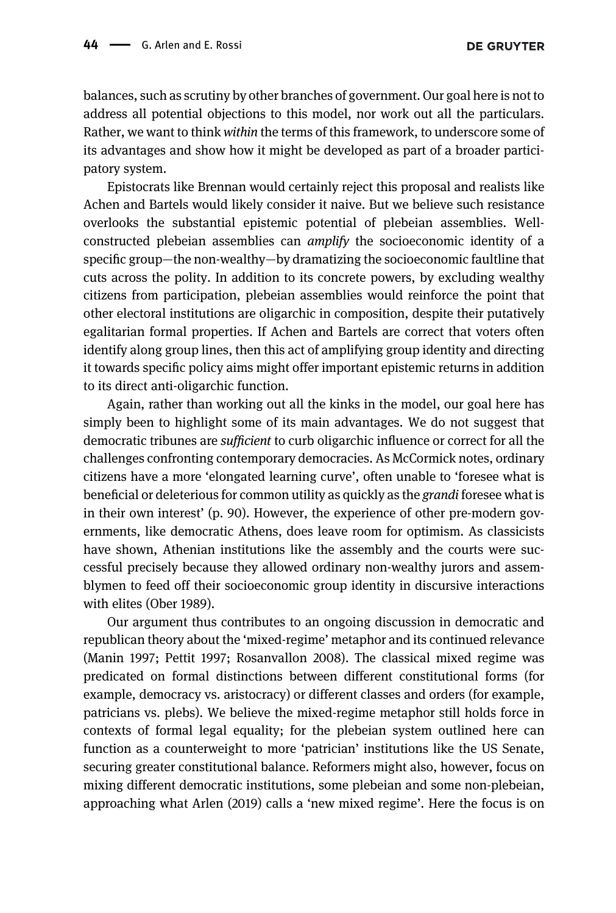balances, such as scrutiny by other branches of government. Our goal here is not to address all potential objections to this model, nor work out all the particulars. Rather, we want to think within the terms of this framework, to underscore some of its advantages and show how it might be developed as part of a broader participatory system.

Epistocrats like Brennan would certainly reject this proposal and realists like Achen and Bartels would likely consider it naive. But we believe such resistance overlooks the substantial epistemic potential of plebeian assemblies. Wellconstructed plebeian assemblies can *amplify* the socioeconomic identity of a specific group—the non-wealthy—by dramatizing the socioeconomic faultline that cuts across the polity. In addition to its concrete powers, by excluding wealthy citizens from participation, plebeian assemblies would reinforce the point that other electoral institutions are oligarchic in composition, despite their putatively egalitarian formal properties. If Achen and Bartels are correct that voters often identify along group lines, then this act of amplifying group identity and directing it towards specific policy aims might offer important epistemic returns in addition to its direct anti-oligarchic function.

Again, rather than working out all the kinks in the model, our goal here has simply been to highlight some of its main advantages. We do not suggest that democratic tribunes are sufficient to curb oligarchic influence or correct for all the challenges confronting contemporary democracies. As McCormick notes, ordinary citizens have a more 'elongated learning curve', often unable to 'foresee what is beneficial or deleterious for common utility as quickly as the grandi foresee what is in their own interest' (p. 90). However, the experience of other pre-modern governments, like democratic Athens, does leave room for optimism. As classicists have shown, Athenian institutions like the assembly and the courts were successful precisely because they allowed ordinary non-wealthy jurors and assemblymen to feed off their socioeconomic group identity in discursive interactions with elites [\(Ober 1989\)](#page-21-0).

Our argument thus contributes to an ongoing discussion in democratic and republican theory about the 'mixed-regime' metaphor and its continued relevance ([Manin 1997; Pettit 1997;](#page-21-0) [Rosanvallon 2008](#page-22-0)). The classical mixed regime was predicated on formal distinctions between different constitutional forms (for example, democracy vs. aristocracy) or different classes and orders (for example, patricians vs. plebs). We believe the mixed-regime metaphor still holds force in contexts of formal legal equality; for the plebeian system outlined here can function as a counterweight to more 'patrician' institutions like the US Senate, securing greater constitutional balance. Reformers might also, however, focus on mixing different democratic institutions, some plebeian and some non-plebeian, approaching what [Arlen \(2019\)](#page-20-0) calls a 'new mixed regime'. Here the focus is on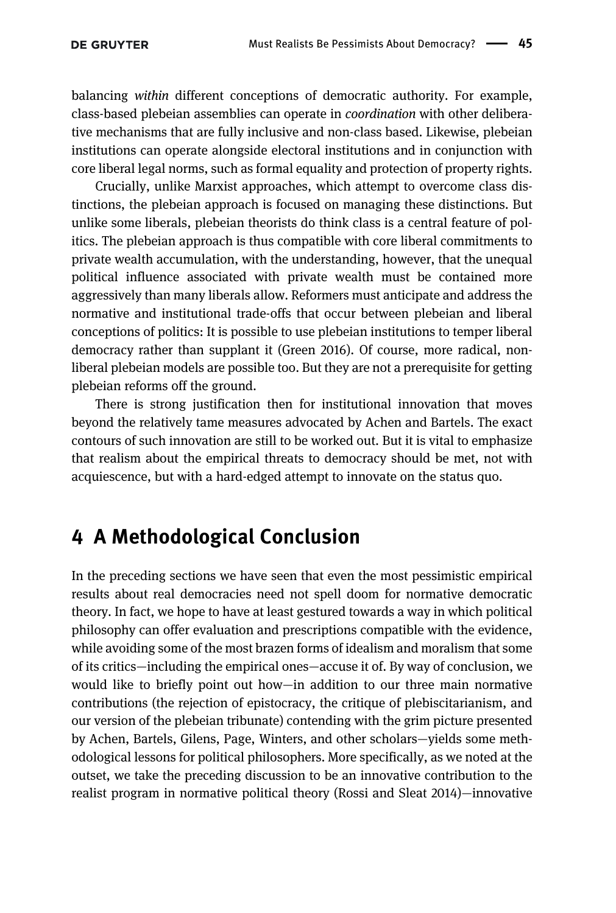balancing within different conceptions of democratic authority. For example, class-based plebeian assemblies can operate in coordination with other deliberative mechanisms that are fully inclusive and non-class based. Likewise, plebeian institutions can operate alongside electoral institutions and in conjunction with core liberal legal norms, such as formal equality and protection of property rights.

Crucially, unlike Marxist approaches, which attempt to overcome class distinctions, the plebeian approach is focused on managing these distinctions. But unlike some liberals, plebeian theorists do think class is a central feature of politics. The plebeian approach is thus compatible with core liberal commitments to private wealth accumulation, with the understanding, however, that the unequal political influence associated with private wealth must be contained more aggressively than many liberals allow. Reformers must anticipate and address the normative and institutional trade-offs that occur between plebeian and liberal conceptions of politics: It is possible to use plebeian institutions to temper liberal democracy rather than supplant it [\(Green 2016\)](#page-20-0). Of course, more radical, nonliberal plebeian models are possible too. But they are not a prerequisite for getting plebeian reforms off the ground.

There is strong justification then for institutional innovation that moves beyond the relatively tame measures advocated by Achen and Bartels. The exact contours of such innovation are still to be worked out. But it is vital to emphasize that realism about the empirical threats to democracy should be met, not with acquiescence, but with a hard-edged attempt to innovate on the status quo.

### 4 A Methodological Conclusion

In the preceding sections we have seen that even the most pessimistic empirical results about real democracies need not spell doom for normative democratic theory. In fact, we hope to have at least gestured towards a way in which political philosophy can offer evaluation and prescriptions compatible with the evidence, while avoiding some of the most brazen forms of idealism and moralism that some of its critics—including the empirical ones—accuse it of. By way of conclusion, we would like to briefly point out how—in addition to our three main normative contributions (the rejection of epistocracy, the critique of plebiscitarianism, and our version of the plebeian tribunate) contending with the grim picture presented by Achen, Bartels, Gilens, Page, Winters, and other scholars—yields some methodological lessons for political philosophers. More specifically, as we noted at the outset, we take the preceding discussion to be an innovative contribution to the realist program in normative political theory [\(Rossi and Sleat 2014](#page-22-0))—innovative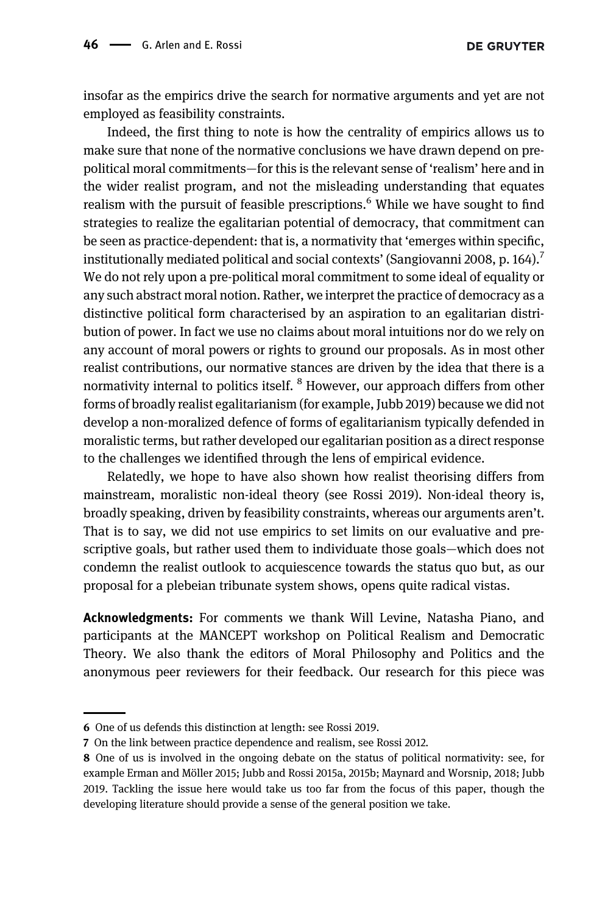**DE GRUYTER** 

insofar as the empirics drive the search for normative arguments and yet are not employed as feasibility constraints.

Indeed, the first thing to note is how the centrality of empirics allows us to make sure that none of the normative conclusions we have drawn depend on prepolitical moral commitments—for this is the relevant sense of 'realism' here and in the wider realist program, and not the misleading understanding that equates realism with the pursuit of feasible prescriptions.<sup>6</sup> While we have sought to find strategies to realize the egalitarian potential of democracy, that commitment can be seen as practice-dependent: that is, a normativity that 'emerges within specific, institutionally mediated political and social contexts' [\(Sangiovanni 2008](#page-22-0), p. 164).<sup>7</sup> We do not rely upon a pre-political moral commitment to some ideal of equality or any such abstract moral notion. Rather, we interpret the practice of democracy as a distinctive political form characterised by an aspiration to an egalitarian distribution of power. In fact we use no claims about moral intuitions nor do we rely on any account of moral powers or rights to ground our proposals. As in most other realist contributions, our normative stances are driven by the idea that there is a normativity internal to politics itself. <sup>8</sup> However, our approach differs from other forms of broadly realist egalitarianism (for example, [Jubb 2019\)](#page-21-0) because we did not develop a non-moralized defence of forms of egalitarianism typically defended in moralistic terms, but rather developed our egalitarian position as a direct response to the challenges we identified through the lens of empirical evidence.

Relatedly, we hope to have also shown how realist theorising differs from mainstream, moralistic non-ideal theory (see [Rossi 2019](#page-22-0)). Non-ideal theory is, broadly speaking, driven by feasibility constraints, whereas our arguments aren't. That is to say, we did not use empirics to set limits on our evaluative and prescriptive goals, but rather used them to individuate those goals—which does not condemn the realist outlook to acquiescence towards the status quo but, as our proposal for a plebeian tribunate system shows, opens quite radical vistas.

Acknowledgments: For comments we thank Will Levine, Natasha Piano, and participants at the MANCEPT workshop on Political Realism and Democratic Theory. We also thank the editors of Moral Philosophy and Politics and the anonymous peer reviewers for their feedback. Our research for this piece was

<sup>6</sup> One of us defends this distinction at length: see Rossi 2019.

<sup>7</sup> On the link between practice dependence and realism, see [Rossi 2012.](#page-22-0)

<sup>8</sup> One of us is involved in the ongoing debate on the status of political normativity: see, for example [Erman and Möller 2015](#page-20-0); [Jubb and Rossi 2015a, 2015b; Maynard and Worsnip, 2018; Jubb](#page-21-0) [2019.](#page-21-0) Tackling the issue here would take us too far from the focus of this paper, though the developing literature should provide a sense of the general position we take.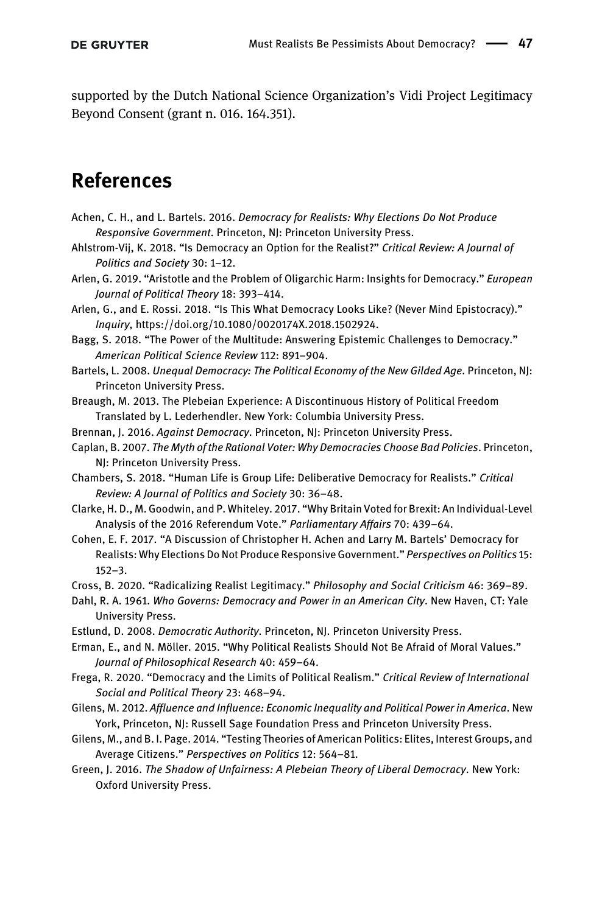<span id="page-20-0"></span>supported by the Dutch National Science Organization's Vidi Project Legitimacy Beyond Consent (grant n. 016. 164.351).

# References

- Achen, C. H., and L. Bartels. 2016. Democracy for Realists: Why Elections Do Not Produce Responsive Government. Princeton, NJ: Princeton University Press.
- Ahlstrom-Vij, K. 2018. "Is Democracy an Option for the Realist?" Critical Review: A Journal of Politics and Society 30: 1–12.
- Arlen, G. 2019. "Aristotle and the Problem of Oligarchic Harm: Insights for Democracy." European Journal of Political Theory 18: 393–414.
- Arlen, G., and E. Rossi. 2018. "Is This What Democracy Looks Like? (Never Mind Epistocracy)." Inquiry, [https://doi.org/10.1080/0020174X.2018.1502924](doi:https://doi.org/10.1080/0020174X.2018.1502924).
- Bagg, S. 2018. "The Power of the Multitude: Answering Epistemic Challenges to Democracy." American Political Science Review 112: 891–904.
- Bartels, L. 2008. Unequal Democracy: The Political Economy of the New Gilded Age. Princeton, NJ: Princeton University Press.
- Breaugh, M. 2013. The Plebeian Experience: A Discontinuous History of Political Freedom Translated by L. Lederhendler. New York: Columbia University Press.
- Brennan, J. 2016. Against Democracy. Princeton, NJ: Princeton University Press.
- Caplan, B. 2007. The Myth of the Rational Voter: Why Democracies Choose Bad Policies. Princeton, NJ: Princeton University Press.
- Chambers, S. 2018. "Human Life is Group Life: Deliberative Democracy for Realists." Critical Review: A Journal of Politics and Society 30: 36–48.
- Clarke, H. D., M. Goodwin, and P. Whiteley. 2017. "Why Britain Voted for Brexit: An Individual-Level Analysis of the 2016 Referendum Vote." Parliamentary Affairs 70: 439–64.
- Cohen, E. F. 2017. "A Discussion of Christopher H. Achen and Larry M. Bartels' Democracy for Realists: Why Elections Do Not Produce Responsive Government." Perspectives on Politics 15: 152–3.
- Cross, B. 2020. "Radicalizing Realist Legitimacy." Philosophy and Social Criticism 46: 369–89.
- Dahl, R. A. 1961. Who Governs: Democracy and Power in an American City. New Haven, CT: Yale University Press.
- Estlund, D. 2008. Democratic Authority. Princeton, NJ. Princeton University Press.
- Erman, E., and N. Möller. 2015. "Why Political Realists Should Not Be Afraid of Moral Values." Journal of Philosophical Research 40: 459–64.
- Frega, R. 2020. "Democracy and the Limits of Political Realism." Critical Review of International Social and Political Theory 23: 468–94.
- Gilens, M. 2012. Affluence and Influence: Economic Inequality and Political Power in America. New York, Princeton, NJ: Russell Sage Foundation Press and Princeton University Press.
- Gilens, M., and B. I. Page. 2014. "Testing Theories of American Politics: Elites, Interest Groups, and Average Citizens." Perspectives on Politics 12: 564–81.
- Green, J. 2016. The Shadow of Unfairness: A Plebeian Theory of Liberal Democracy. New York: Oxford University Press.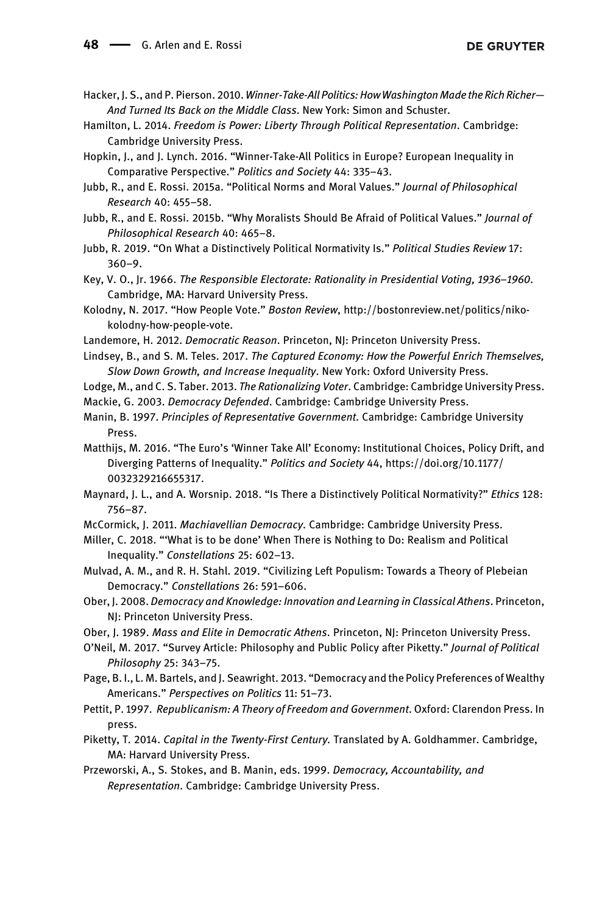- <span id="page-21-0"></span>Hacker, J. S., and P. Pierson. 2010. Winner-Take-All Politics: How Washington Made the Rich Richer-And Turned Its Back on the Middle Class. New York: Simon and Schuster.
- Hamilton, L. 2014. Freedom is Power: Liberty Through Political Representation. Cambridge: Cambridge University Press.
- Hopkin, J., and J. Lynch. 2016. "Winner-Take-All Politics in Europe? European Inequality in Comparative Perspective." Politics and Society 44: 335–43.
- Jubb, R., and E. Rossi. 2015a. "Political Norms and Moral Values." Journal of Philosophical Research 40: 455–58.
- Jubb, R., and E. Rossi. 2015b. "Why Moralists Should Be Afraid of Political Values." Journal of Philosophical Research 40: 465–8.
- Jubb, R. 2019. "On What a Distinctively Political Normativity Is." Political Studies Review 17: 360–9.
- Key, V. O., Jr. 1966. The Responsible Electorate: Rationality in Presidential Voting, 1936–1960. Cambridge, MA: Harvard University Press.
- Kolodny, N. 2017. "How People Vote." Boston Review, [http://bostonreview.net/politics/niko](http://bostonreview.net/politics/niko-kolodny-how-people-vote)[kolodny-how-people-vote.](http://bostonreview.net/politics/niko-kolodny-how-people-vote)
- Landemore, H. 2012. Democratic Reason. Princeton, NJ: Princeton University Press.
- Lindsey, B., and S. M. Teles. 2017. The Captured Economy: How the Powerful Enrich Themselves, Slow Down Growth, and Increase Inequality. New York: Oxford University Press.
- Lodge, M., and C. S. Taber. 2013. The Rationalizing Voter. Cambridge: Cambridge University Press.
- Mackie, G. 2003. Democracy Defended. Cambridge: Cambridge University Press.
- Manin, B. 1997. Principles of Representative Government. Cambridge: Cambridge University Press.
- Matthijs, M. 2016. "The Euro's 'Winner Take All' Economy: Institutional Choices, Policy Drift, and Diverging Patterns of Inequality." Politics and Society 44, [https://doi.org/10.1177/](doi:https://doi.org/10.1177/0032329216655317) [0032329216655317](doi:https://doi.org/10.1177/0032329216655317).
- Maynard, J. L., and A. Worsnip. 2018. "Is There a Distinctively Political Normativity?" Ethics 128: 756–87.
- McCormick, J. 2011. Machiavellian Democracy. Cambridge: Cambridge University Press.
- Miller, C. 2018. "'What is to be done' When There is Nothing to Do: Realism and Political Inequality." Constellations 25: 602–13.
- Mulvad, A. M., and R. H. Stahl. 2019. "Civilizing Left Populism: Towards a Theory of Plebeian Democracy." Constellations 26: 591–606.
- Ober, J. 2008. Democracy and Knowledge: Innovation and Learning in Classical Athens. Princeton, NJ: Princeton University Press.
- Ober, J. 1989. Mass and Elite in Democratic Athens. Princeton, NJ: Princeton University Press.
- O'Neil, M. 2017. "Survey Article: Philosophy and Public Policy after Piketty." Journal of Political Philosophy 25: 343–75.
- Page, B. I., L. M. Bartels, and J. Seawright. 2013. "Democracy and the Policy Preferences of Wealthy Americans." Perspectives on Politics 11: 51–73.
- Pettit, P. 1997. Republicanism: A Theory of Freedom and Government. Oxford: Clarendon Press. In press.
- Piketty, T. 2014. Capital in the Twenty-First Century. Translated by A. Goldhammer. Cambridge, MA: Harvard University Press.
- Przeworski, A., S. Stokes, and B. Manin, eds. 1999. Democracy, Accountability, and Representation. Cambridge: Cambridge University Press.